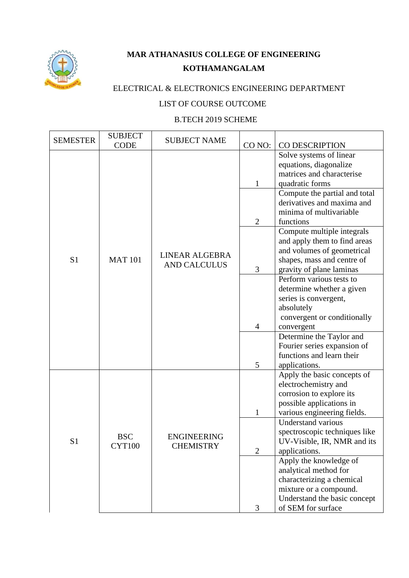

## **MAR ATHANASIUS COLLEGE OF ENGINEERING KOTHAMANGALAM**

## ELECTRICAL & ELECTRONICS ENGINEERING DEPARTMENT

## LIST OF COURSE OUTCOME

## B.TECH 2019 SCHEME

| <b>SEMESTER</b> | <b>SUBJECT</b><br><b>CODE</b> | <b>SUBJECT NAME</b>                    | CO <sub>NO</sub> :                                                                 | <b>CO DESCRIPTION</b>                                                                                                              |
|-----------------|-------------------------------|----------------------------------------|------------------------------------------------------------------------------------|------------------------------------------------------------------------------------------------------------------------------------|
|                 |                               |                                        | $\mathbf{1}$                                                                       | Solve systems of linear<br>equations, diagonalize<br>matrices and characterise<br>quadratic forms<br>Compute the partial and total |
|                 |                               |                                        | $\overline{2}$                                                                     | derivatives and maxima and<br>minima of multivariable<br>functions                                                                 |
| S <sub>1</sub>  | <b>MAT 101</b>                | LINEAR ALGEBRA<br><b>AND CALCULUS</b>  |                                                                                    | Compute multiple integrals<br>and apply them to find areas<br>and volumes of geometrical<br>shapes, mass and centre of             |
|                 |                               |                                        | gravity of plane laminas<br>3<br>Perform various tests to<br>series is convergent, | determine whether a given                                                                                                          |
|                 |                               |                                        | 4                                                                                  | absolutely<br>convergent or conditionally<br>convergent                                                                            |
|                 |                               |                                        | 5                                                                                  | Determine the Taylor and<br>Fourier series expansion of<br>functions and learn their<br>applications.                              |
|                 |                               |                                        |                                                                                    | Apply the basic concepts of<br>electrochemistry and                                                                                |
| S1              | <b>BSC</b><br><b>CYT100</b>   | <b>ENGINEERING</b><br><b>CHEMISTRY</b> | 1                                                                                  | corrosion to explore its<br>possible applications in<br>various engineering fields.                                                |
|                 |                               |                                        | $\overline{2}$                                                                     | <b>Understand various</b><br>spectroscopic techniques like<br>UV-Visible, IR, NMR and its<br>applications.                         |
|                 |                               |                                        |                                                                                    | Apply the knowledge of<br>analytical method for<br>characterizing a chemical                                                       |
|                 |                               |                                        | 3                                                                                  | mixture or a compound.<br>Understand the basic concept<br>of SEM for surface                                                       |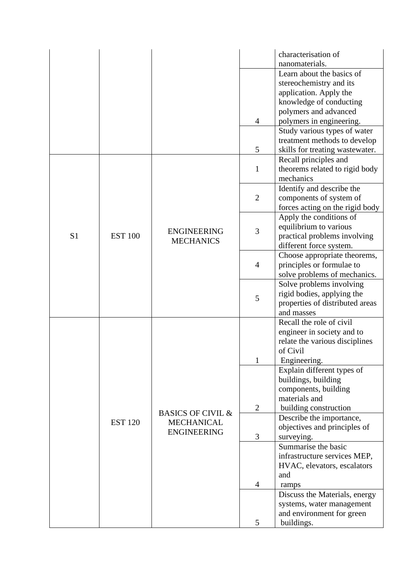|                |                |                              |                | characterisation of             |
|----------------|----------------|------------------------------|----------------|---------------------------------|
|                |                |                              |                | nanomaterials.                  |
|                |                |                              |                | Learn about the basics of       |
|                |                |                              |                | stereochemistry and its         |
|                |                |                              |                | application. Apply the          |
|                |                |                              |                | knowledge of conducting         |
|                |                |                              |                | polymers and advanced           |
|                |                |                              | 4              | polymers in engineering.        |
|                |                |                              |                | Study various types of water    |
|                |                |                              |                | treatment methods to develop    |
|                |                |                              | 5              | skills for treating wastewater. |
|                |                |                              |                | Recall principles and           |
|                |                |                              | $\mathbf{1}$   | theorems related to rigid body  |
|                |                |                              |                | mechanics                       |
|                |                |                              |                | Identify and describe the       |
|                |                |                              | $\overline{2}$ | components of system of         |
|                |                |                              |                | forces acting on the rigid body |
|                |                |                              |                | Apply the conditions of         |
|                |                | <b>ENGINEERING</b>           | 3              | equilibrium to various          |
| S <sub>1</sub> | <b>EST 100</b> | <b>MECHANICS</b>             |                | practical problems involving    |
|                |                |                              |                | different force system.         |
|                |                |                              |                | Choose appropriate theorems,    |
|                |                |                              | $\overline{4}$ | principles or formulae to       |
|                |                |                              |                | solve problems of mechanics.    |
|                |                |                              |                | Solve problems involving        |
|                |                |                              | 5              | rigid bodies, applying the      |
|                |                |                              |                | properties of distributed areas |
|                |                |                              |                | and masses                      |
|                |                |                              |                | Recall the role of civil        |
|                |                |                              |                | engineer in society and to      |
|                |                |                              | 1              | relate the various disciplines  |
|                |                |                              |                | of Civil                        |
|                |                |                              |                | Engineering.                    |
|                |                |                              |                | Explain different types of      |
|                |                |                              |                | buildings, building             |
|                |                |                              |                | components, building            |
|                |                |                              |                | materials and                   |
|                |                | <b>BASICS OF CIVIL &amp;</b> | $\overline{2}$ | building construction           |
|                | <b>EST 120</b> | <b>MECHANICAL</b>            |                | Describe the importance,        |
|                |                | <b>ENGINEERING</b>           |                | objectives and principles of    |
|                |                |                              | 3              | surveying.                      |
|                |                |                              |                | Summarise the basic             |
|                |                |                              |                | infrastructure services MEP,    |
|                |                |                              |                | HVAC, elevators, escalators     |
|                |                |                              |                | and                             |
|                |                |                              | $\overline{4}$ | ramps                           |
|                |                |                              |                | Discuss the Materials, energy   |
|                |                |                              |                | systems, water management       |
|                |                |                              |                | and environment for green       |
|                |                |                              | 5              | buildings.                      |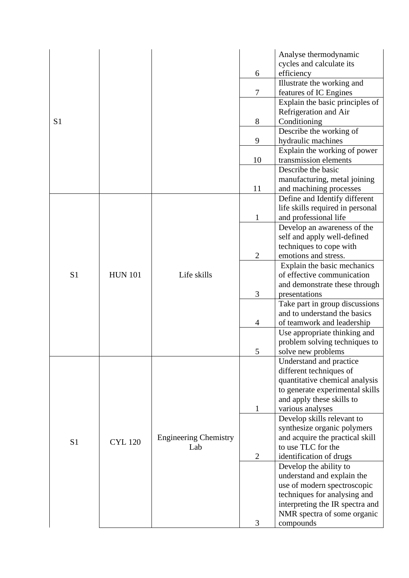|                |                |                              |                | Analyse thermodynamic<br>cycles and calculate its         |
|----------------|----------------|------------------------------|----------------|-----------------------------------------------------------|
|                |                |                              | 6              | efficiency                                                |
|                |                |                              |                | Illustrate the working and                                |
|                |                |                              | $\overline{7}$ | features of IC Engines                                    |
|                |                |                              |                | Explain the basic principles of                           |
|                |                |                              |                | Refrigeration and Air                                     |
| S <sub>1</sub> |                |                              | 8              | Conditioning                                              |
|                |                |                              |                | Describe the working of                                   |
|                |                |                              | 9              | hydraulic machines                                        |
|                |                |                              |                | Explain the working of power                              |
|                |                |                              | 10             | transmission elements                                     |
|                |                |                              |                | Describe the basic                                        |
|                |                |                              |                | manufacturing, metal joining                              |
|                |                |                              | 11             | and machining processes                                   |
|                |                |                              |                | Define and Identify different                             |
|                |                |                              |                | life skills required in personal                          |
|                |                |                              | 1              | and professional life                                     |
|                |                |                              |                | Develop an awareness of the                               |
|                |                |                              |                | self and apply well-defined                               |
|                |                |                              | $\overline{2}$ | techniques to cope with                                   |
|                |                |                              |                | emotions and stress.                                      |
| S <sub>1</sub> | <b>HUN 101</b> | Life skills                  |                | Explain the basic mechanics<br>of effective communication |
|                |                |                              |                |                                                           |
|                |                |                              | 3              | and demonstrate these through<br>presentations            |
|                |                |                              |                | Take part in group discussions                            |
|                |                |                              |                | and to understand the basics                              |
|                |                |                              | $\overline{4}$ | of teamwork and leadership                                |
|                |                |                              |                | Use appropriate thinking and                              |
|                |                |                              |                | problem solving techniques to                             |
|                |                |                              | 5              | solve new problems                                        |
|                |                |                              |                | Understand and practice                                   |
|                |                |                              |                | different techniques of                                   |
|                |                |                              |                | quantitative chemical analysis                            |
|                |                |                              |                | to generate experimental skills                           |
|                |                |                              |                | and apply these skills to                                 |
|                |                |                              | 1              | various analyses                                          |
|                |                |                              |                | Develop skills relevant to                                |
|                |                |                              |                | synthesize organic polymers                               |
| S <sub>1</sub> | <b>CYL 120</b> | <b>Engineering Chemistry</b> |                | and acquire the practical skill                           |
|                |                | Lab                          |                | to use TLC for the                                        |
|                |                |                              | $\overline{2}$ | identification of drugs                                   |
|                |                |                              |                | Develop the ability to                                    |
|                |                |                              |                | understand and explain the                                |
|                |                |                              |                | use of modern spectroscopic                               |
|                |                |                              |                | techniques for analysing and                              |
|                |                |                              |                | interpreting the IR spectra and                           |
|                |                |                              |                | NMR spectra of some organic                               |
|                |                |                              | 3              | compounds                                                 |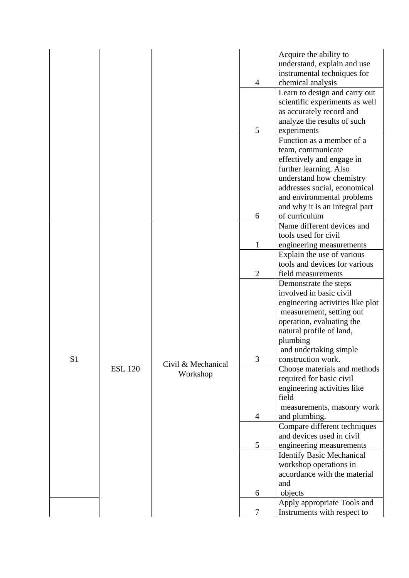|                |                |                    | 4              | Acquire the ability to<br>understand, explain and use<br>instrumental techniques for<br>chemical analysis                  |
|----------------|----------------|--------------------|----------------|----------------------------------------------------------------------------------------------------------------------------|
|                |                |                    | 5              | Learn to design and carry out<br>scientific experiments as well<br>as accurately record and<br>analyze the results of such |
|                |                |                    |                | experiments<br>Function as a member of a<br>team, communicate                                                              |
|                |                |                    |                | effectively and engage in<br>further learning. Also<br>understand how chemistry<br>addresses social, economical            |
|                |                |                    | 6              | and environmental problems<br>and why it is an integral part<br>of curriculum                                              |
|                |                |                    |                | Name different devices and<br>tools used for civil                                                                         |
|                |                |                    | $\mathbf{1}$   | engineering measurements                                                                                                   |
|                |                |                    |                | Explain the use of various                                                                                                 |
|                |                |                    | $\overline{2}$ | tools and devices for various<br>field measurements                                                                        |
|                |                |                    |                | Demonstrate the steps                                                                                                      |
|                |                |                    |                | involved in basic civil                                                                                                    |
|                |                |                    |                | engineering activities like plot                                                                                           |
|                |                |                    |                | measurement, setting out                                                                                                   |
|                | <b>ESL 120</b> |                    |                | operation, evaluating the<br>natural profile of land,                                                                      |
|                |                |                    |                | plumbing                                                                                                                   |
|                |                | Civil & Mechanical |                | and undertaking simple                                                                                                     |
| S <sub>1</sub> |                |                    | 3              | construction work.                                                                                                         |
|                |                | Workshop           |                | Choose materials and methods                                                                                               |
|                |                |                    |                | required for basic civil<br>engineering activities like                                                                    |
|                |                |                    |                | field                                                                                                                      |
|                |                |                    |                | measurements, masonry work                                                                                                 |
|                |                |                    | $\overline{4}$ | and plumbing.                                                                                                              |
|                |                |                    |                | Compare different techniques<br>and devices used in civil                                                                  |
|                |                |                    | 5              | engineering measurements                                                                                                   |
|                |                |                    |                | <b>Identify Basic Mechanical</b>                                                                                           |
|                |                |                    |                | workshop operations in                                                                                                     |
|                |                |                    |                | accordance with the material                                                                                               |
|                |                |                    |                | and                                                                                                                        |
|                |                |                    | 6              | objects<br>Apply appropriate Tools and                                                                                     |
|                |                |                    | 7              | Instruments with respect to                                                                                                |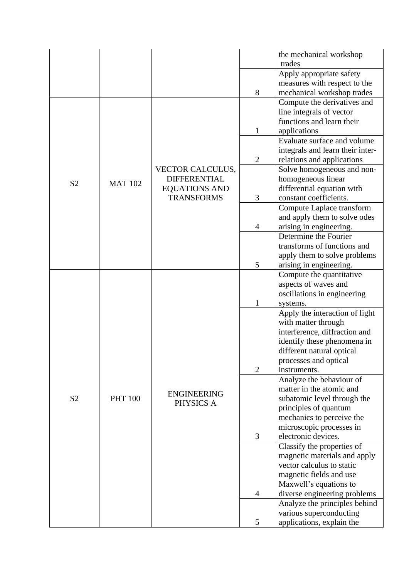|                |                |                      |                                                            | the mechanical workshop<br>trades                                                    |
|----------------|----------------|----------------------|------------------------------------------------------------|--------------------------------------------------------------------------------------|
|                |                |                      |                                                            | Apply appropriate safety<br>measures with respect to the                             |
|                |                |                      | 8                                                          | mechanical workshop trades                                                           |
|                |                |                      |                                                            | Compute the derivatives and<br>line integrals of vector<br>functions and learn their |
|                |                |                      | $\mathbf{1}$                                               | applications                                                                         |
|                |                |                      |                                                            | Evaluate surface and volume                                                          |
|                |                |                      |                                                            | integrals and learn their inter-                                                     |
|                |                |                      | $\overline{2}$                                             | relations and applications                                                           |
|                |                | VECTOR CALCULUS,     |                                                            | Solve homogeneous and non-                                                           |
| S <sub>2</sub> | <b>MAT 102</b> | <b>DIFFERENTIAL</b>  |                                                            | homogeneous linear                                                                   |
|                |                | <b>EQUATIONS AND</b> |                                                            | differential equation with                                                           |
|                |                | <b>TRANSFORMS</b>    | 3                                                          | constant coefficients.                                                               |
|                |                |                      |                                                            | Compute Laplace transform                                                            |
|                |                |                      |                                                            | and apply them to solve odes                                                         |
|                |                |                      | 4                                                          | arising in engineering.<br>Determine the Fourier                                     |
|                |                |                      |                                                            | transforms of functions and                                                          |
|                |                |                      |                                                            | apply them to solve problems                                                         |
|                |                |                      | 5                                                          | arising in engineering.                                                              |
|                |                |                      |                                                            | Compute the quantitative                                                             |
|                |                |                      |                                                            | aspects of waves and                                                                 |
|                |                |                      |                                                            | oscillations in engineering                                                          |
|                |                |                      | 1                                                          | systems.                                                                             |
|                |                |                      |                                                            | Apply the interaction of light                                                       |
|                |                |                      |                                                            | with matter through                                                                  |
|                |                |                      |                                                            | interference, diffraction and                                                        |
|                |                |                      |                                                            | identify these phenomena in<br>different natural optical                             |
|                |                |                      |                                                            | processes and optical                                                                |
|                |                |                      |                                                            |                                                                                      |
|                |                |                      | $\overline{2}$<br>instruments.<br>Analyze the behaviour of |                                                                                      |
|                |                |                      |                                                            | matter in the atomic and                                                             |
| S <sub>2</sub> | <b>PHT 100</b> | <b>ENGINEERING</b>   |                                                            | subatomic level through the                                                          |
|                |                | PHYSICS A            |                                                            | principles of quantum                                                                |
|                |                |                      |                                                            | mechanics to perceive the                                                            |
|                |                |                      |                                                            | microscopic processes in                                                             |
|                |                |                      | 3                                                          | electronic devices.                                                                  |
|                |                |                      |                                                            | Classify the properties of                                                           |
|                |                |                      |                                                            | magnetic materials and apply                                                         |
|                |                |                      |                                                            | vector calculus to static                                                            |
|                |                |                      |                                                            | magnetic fields and use<br>Maxwell's equations to                                    |
|                |                |                      | $\overline{4}$                                             | diverse engineering problems                                                         |
|                |                |                      |                                                            | Analyze the principles behind                                                        |
|                |                |                      |                                                            | various superconducting                                                              |
|                |                |                      | 5                                                          | applications, explain the                                                            |
|                |                |                      |                                                            |                                                                                      |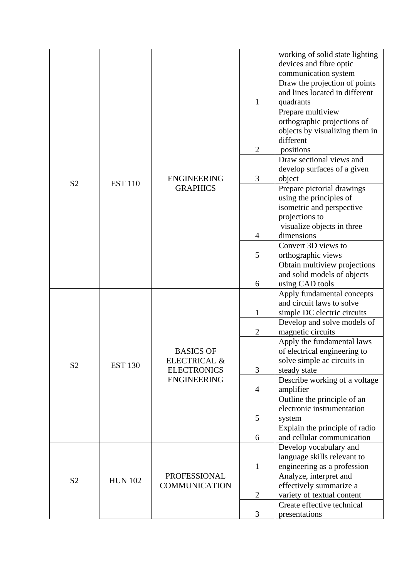|                |                |                         |                | working of solid state lighting<br>devices and fibre optic      |
|----------------|----------------|-------------------------|----------------|-----------------------------------------------------------------|
|                |                |                         |                | communication system                                            |
|                |                |                         |                | Draw the projection of points<br>and lines located in different |
|                |                |                         | $\mathbf{1}$   | quadrants                                                       |
|                |                |                         |                | Prepare multiview                                               |
|                |                |                         |                | orthographic projections of                                     |
|                |                |                         |                | objects by visualizing them in                                  |
|                |                |                         |                | different                                                       |
|                |                |                         | $\overline{2}$ | positions                                                       |
|                |                |                         |                | Draw sectional views and<br>develop surfaces of a given         |
|                |                | <b>ENGINEERING</b>      | 3              | object                                                          |
| S <sub>2</sub> | <b>EST 110</b> | <b>GRAPHICS</b>         |                | Prepare pictorial drawings                                      |
|                |                |                         |                | using the principles of                                         |
|                |                |                         |                | isometric and perspective                                       |
|                |                |                         |                | projections to                                                  |
|                |                |                         |                | visualize objects in three                                      |
|                |                |                         | 4              | dimensions                                                      |
|                |                |                         |                | Convert 3D views to                                             |
|                |                |                         | 5              | orthographic views                                              |
|                |                |                         |                | Obtain multiview projections                                    |
|                |                |                         |                | and solid models of objects                                     |
|                |                |                         | 6              | using CAD tools                                                 |
|                |                | <b>BASICS OF</b>        |                | Apply fundamental concepts<br>and circuit laws to solve         |
|                |                |                         | 1              | simple DC electric circuits                                     |
|                |                |                         |                | Develop and solve models of                                     |
|                |                |                         | $\overline{2}$ | magnetic circuits                                               |
|                |                |                         |                | Apply the fundamental laws                                      |
|                |                |                         |                | of electrical engineering to                                    |
| S <sub>2</sub> | <b>EST 130</b> | <b>ELECTRICAL &amp;</b> |                | solve simple ac circuits in                                     |
|                |                | <b>ELECTRONICS</b>      | 3              | steady state                                                    |
|                |                | <b>ENGINEERING</b>      |                | Describe working of a voltage                                   |
|                |                |                         | $\overline{4}$ | amplifier                                                       |
|                |                |                         |                | Outline the principle of an                                     |
|                |                |                         | 5              | electronic instrumentation                                      |
|                |                |                         |                | system<br>Explain the principle of radio                        |
|                |                |                         | 6              | and cellular communication                                      |
|                |                |                         |                | Develop vocabulary and                                          |
|                |                |                         |                | language skills relevant to                                     |
|                |                |                         | $\mathbf{1}$   | engineering as a profession                                     |
|                |                | PROFESSIONAL            |                | Analyze, interpret and                                          |
| S <sub>2</sub> | <b>HUN 102</b> | <b>COMMUNICATION</b>    |                | effectively summarize a                                         |
|                |                |                         | $\overline{2}$ | variety of textual content                                      |
|                |                |                         |                | Create effective technical                                      |
|                |                |                         | 3              | presentations                                                   |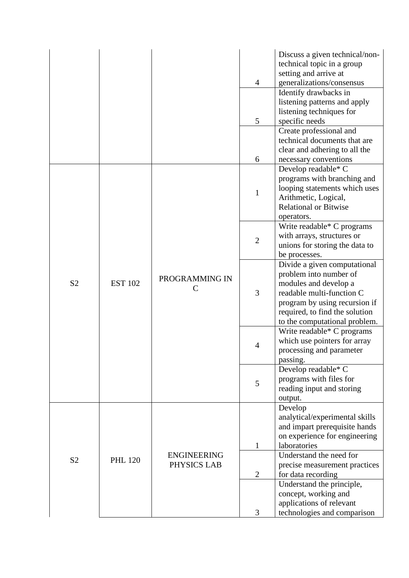|                |                |                                   | 4              | Discuss a given technical/non-<br>technical topic in a group<br>setting and arrive at<br>generalizations/consensus                                                                                               |
|----------------|----------------|-----------------------------------|----------------|------------------------------------------------------------------------------------------------------------------------------------------------------------------------------------------------------------------|
|                |                |                                   | 5              | Identify drawbacks in<br>listening patterns and apply<br>listening techniques for<br>specific needs                                                                                                              |
|                |                |                                   | 6              | Create professional and<br>technical documents that are<br>clear and adhering to all the<br>necessary conventions                                                                                                |
|                |                |                                   | $\mathbf{1}$   | Develop readable* C<br>programs with branching and<br>looping statements which uses<br>Arithmetic, Logical,<br><b>Relational or Bitwise</b><br>operators.                                                        |
| S <sub>2</sub> | <b>EST 102</b> | PROGRAMMING IN<br>C               | $\overline{2}$ | Write readable* C programs<br>with arrays, structures or<br>unions for storing the data to<br>be processes.                                                                                                      |
|                |                |                                   | 3              | Divide a given computational<br>problem into number of<br>modules and develop a<br>readable multi-function C<br>program by using recursion if<br>required, to find the solution<br>to the computational problem. |
|                |                |                                   | $\overline{4}$ | Write readable* C programs<br>which use pointers for array<br>processing and parameter<br>passing.                                                                                                               |
|                |                |                                   | 5              | Develop readable* C<br>programs with files for<br>reading input and storing<br>output.                                                                                                                           |
|                |                |                                   | 1              | Develop<br>analytical/experimental skills<br>and impart prerequisite hands<br>on experience for engineering<br>laboratories                                                                                      |
| S <sub>2</sub> | <b>PHL 120</b> | <b>ENGINEERING</b><br>PHYSICS LAB | $\overline{2}$ | Understand the need for<br>precise measurement practices<br>for data recording                                                                                                                                   |
|                |                |                                   | 3              | Understand the principle,<br>concept, working and<br>applications of relevant<br>technologies and comparison                                                                                                     |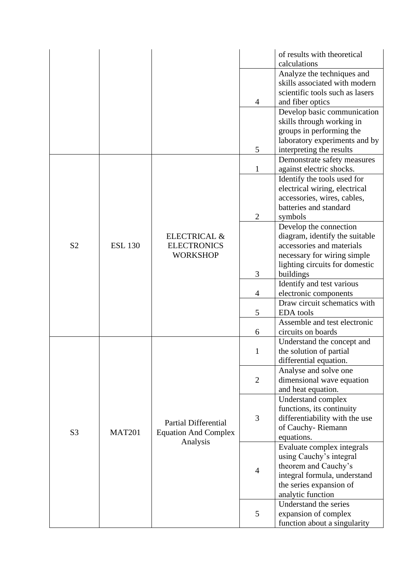|                |                |                                                                  |                | of results with theoretical<br>calculations                                                                           |
|----------------|----------------|------------------------------------------------------------------|----------------|-----------------------------------------------------------------------------------------------------------------------|
|                |                |                                                                  | $\overline{4}$ | Analyze the techniques and<br>skills associated with modern<br>scientific tools such as lasers<br>and fiber optics    |
|                |                |                                                                  |                | Develop basic communication<br>skills through working in<br>groups in performing the<br>laboratory experiments and by |
|                |                |                                                                  | 5              | interpreting the results                                                                                              |
|                |                |                                                                  |                | Demonstrate safety measures                                                                                           |
|                |                |                                                                  | 1              | against electric shocks.                                                                                              |
|                |                |                                                                  |                | Identify the tools used for<br>electrical wiring, electrical                                                          |
|                |                |                                                                  |                | accessories, wires, cables,                                                                                           |
|                |                |                                                                  |                | batteries and standard                                                                                                |
|                |                |                                                                  | $\overline{2}$ | symbols                                                                                                               |
|                |                |                                                                  |                | Develop the connection                                                                                                |
|                |                | <b>ELECTRICAL &amp;</b><br><b>ELECTRONICS</b><br><b>WORKSHOP</b> |                | diagram, identify the suitable                                                                                        |
| S <sub>2</sub> | <b>ESL 130</b> |                                                                  |                | accessories and materials                                                                                             |
|                |                |                                                                  |                | necessary for wiring simple                                                                                           |
|                |                |                                                                  |                | lighting circuits for domestic                                                                                        |
|                |                |                                                                  | 3              | buildings                                                                                                             |
|                |                |                                                                  |                | Identify and test various                                                                                             |
|                |                |                                                                  | 4              | electronic components                                                                                                 |
|                |                |                                                                  | 5              | Draw circuit schematics with<br><b>EDA</b> tools                                                                      |
|                |                |                                                                  |                | Assemble and test electronic                                                                                          |
|                |                |                                                                  | 6              | circuits on boards                                                                                                    |
|                |                |                                                                  |                | Understand the concept and                                                                                            |
|                |                |                                                                  | 1              | the solution of partial                                                                                               |
|                |                |                                                                  |                | differential equation.                                                                                                |
|                |                |                                                                  |                | Analyse and solve one                                                                                                 |
|                |                |                                                                  | $\overline{2}$ | dimensional wave equation                                                                                             |
|                |                |                                                                  |                | and heat equation.                                                                                                    |
|                |                |                                                                  |                | Understand complex                                                                                                    |
|                |                |                                                                  |                | functions, its continuity                                                                                             |
|                |                | <b>Partial Differential</b>                                      | 3              | differentiability with the use<br>of Cauchy-Riemann                                                                   |
| S <sub>3</sub> | <b>MAT201</b>  | <b>Equation And Complex</b>                                      |                | equations.                                                                                                            |
|                |                | Analysis                                                         |                | Evaluate complex integrals                                                                                            |
|                |                |                                                                  |                | using Cauchy's integral                                                                                               |
|                |                |                                                                  |                | theorem and Cauchy's                                                                                                  |
|                |                |                                                                  | $\overline{4}$ | integral formula, understand                                                                                          |
|                |                |                                                                  |                | the series expansion of                                                                                               |
|                |                |                                                                  |                | analytic function                                                                                                     |
|                |                |                                                                  |                | Understand the series                                                                                                 |
|                |                |                                                                  | 5              | expansion of complex                                                                                                  |
|                |                |                                                                  |                | function about a singularity                                                                                          |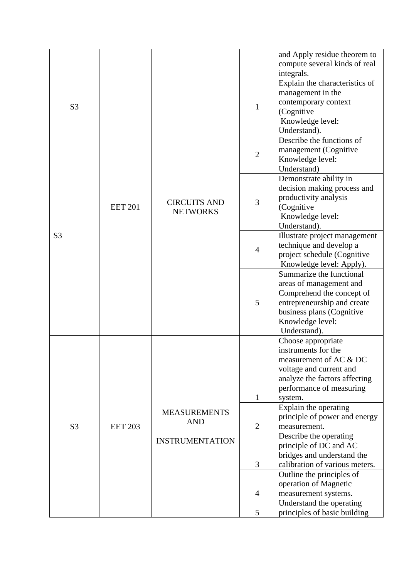|                |                |                                        |                | and Apply residue theorem to<br>compute several kinds of real<br>integrals.                                                                                                      |
|----------------|----------------|----------------------------------------|----------------|----------------------------------------------------------------------------------------------------------------------------------------------------------------------------------|
| S <sub>3</sub> |                |                                        | 1              | Explain the characteristics of<br>management in the<br>contemporary context<br>(Cognitive<br>Knowledge level:<br>Understand).                                                    |
|                |                |                                        | $\overline{2}$ | Describe the functions of<br>management (Cognitive<br>Knowledge level:<br>Understand)                                                                                            |
|                | <b>EET 201</b> | <b>CIRCUITS AND</b><br><b>NETWORKS</b> | 3              | Demonstrate ability in<br>decision making process and<br>productivity analysis<br>(Cognitive<br>Knowledge level:<br>Understand).                                                 |
| S <sub>3</sub> |                |                                        | $\overline{4}$ | Illustrate project management<br>technique and develop a<br>project schedule (Cognitive<br>Knowledge level: Apply).                                                              |
|                |                |                                        | 5              | Summarize the functional<br>areas of management and<br>Comprehend the concept of<br>entrepreneurship and create<br>business plans (Cognitive<br>Knowledge level:<br>Understand). |
|                |                |                                        | $\mathbf{1}$   | Choose appropriate<br>instruments for the<br>measurement of AC & DC<br>voltage and current and<br>analyze the factors affecting<br>performance of measuring<br>system.           |
| S <sub>3</sub> | <b>EET 203</b> | <b>MEASUREMENTS</b><br><b>AND</b>      | $\overline{2}$ | Explain the operating<br>principle of power and energy<br>measurement.                                                                                                           |
|                |                | <b>INSTRUMENTATION</b>                 |                | Describe the operating<br>principle of DC and AC<br>bridges and understand the                                                                                                   |
|                |                |                                        | 3              | calibration of various meters.<br>Outline the principles of<br>operation of Magnetic                                                                                             |
|                |                |                                        | 4              | measurement systems.<br>Understand the operating                                                                                                                                 |
|                |                |                                        | 5              | principles of basic building                                                                                                                                                     |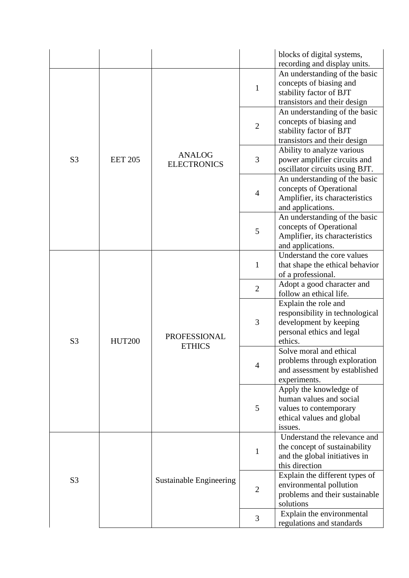|                |                |                                      |                | blocks of digital systems,<br>recording and display units.                                                                |
|----------------|----------------|--------------------------------------|----------------|---------------------------------------------------------------------------------------------------------------------------|
|                |                |                                      | $\mathbf{1}$   | An understanding of the basic<br>concepts of biasing and<br>stability factor of BJT<br>transistors and their design       |
|                |                |                                      | $\overline{2}$ | An understanding of the basic<br>concepts of biasing and<br>stability factor of BJT<br>transistors and their design       |
| S <sub>3</sub> | <b>EET 205</b> | <b>ANALOG</b><br><b>ELECTRONICS</b>  | 3              | Ability to analyze various<br>power amplifier circuits and<br>oscillator circuits using BJT.                              |
|                |                |                                      | $\overline{4}$ | An understanding of the basic<br>concepts of Operational<br>Amplifier, its characteristics<br>and applications.           |
|                |                |                                      | 5              | An understanding of the basic<br>concepts of Operational<br>Amplifier, its characteristics<br>and applications.           |
| S <sub>3</sub> | <b>HUT200</b>  | <b>PROFESSIONAL</b><br><b>ETHICS</b> | $\mathbf{1}$   | Understand the core values<br>that shape the ethical behavior<br>of a professional.                                       |
|                |                |                                      | $\overline{2}$ | Adopt a good character and<br>follow an ethical life.                                                                     |
|                |                |                                      | 3              | Explain the role and<br>responsibility in technological<br>development by keeping<br>personal ethics and legal<br>ethics. |
|                |                |                                      | $\overline{4}$ | Solve moral and ethical<br>problems through exploration<br>and assessment by established<br>experiments.                  |
|                |                |                                      | 5              | Apply the knowledge of<br>human values and social<br>values to contemporary<br>ethical values and global<br>issues.       |
| S <sub>3</sub> |                |                                      | $\mathbf{1}$   | Understand the relevance and<br>the concept of sustainability<br>and the global initiatives in<br>this direction          |
|                |                | <b>Sustainable Engineering</b>       | $\overline{2}$ | Explain the different types of<br>environmental pollution<br>problems and their sustainable<br>solutions                  |
|                |                |                                      | 3              | Explain the environmental<br>regulations and standards                                                                    |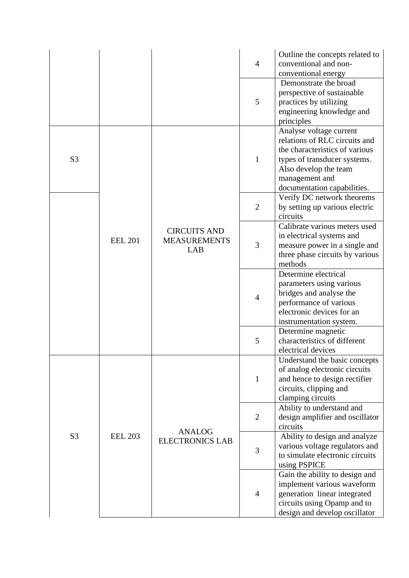|                |                |                                                   | $\overline{4}$ | Outline the concepts related to<br>conventional and non-                                                                                                                                             |
|----------------|----------------|---------------------------------------------------|----------------|------------------------------------------------------------------------------------------------------------------------------------------------------------------------------------------------------|
|                |                |                                                   | 5              | conventional energy<br>Demonstrate the broad<br>perspective of sustainable<br>practices by utilizing<br>engineering knowledge and<br>principles                                                      |
| S <sub>3</sub> |                |                                                   | $\mathbf{1}$   | Analyse voltage current<br>relations of RLC circuits and<br>the characteristics of various<br>types of transducer systems.<br>Also develop the team<br>management and<br>documentation capabilities. |
|                |                |                                                   | $\overline{2}$ | Verify DC network theorems<br>by setting up various electric<br>circuits                                                                                                                             |
|                | <b>EEL 201</b> | <b>CIRCUITS AND</b><br><b>MEASUREMENTS</b><br>LAB | 3              | Calibrate various meters used<br>in electrical systems and<br>measure power in a single and<br>three phase circuits by various<br>methods                                                            |
|                |                |                                                   | $\overline{4}$ | Determine electrical<br>parameters using various<br>bridges and analyse the<br>performance of various<br>electronic devices for an<br>instrumentation system.                                        |
|                |                |                                                   | 5              | Determine magnetic<br>characteristics of different<br>electrical devices                                                                                                                             |
|                |                |                                                   | $\mathbf{1}$   | Understand the basic concepts<br>of analog electronic circuits<br>and hence to design rectifier<br>circuits, clipping and<br>clamping circuits                                                       |
| S <sub>3</sub> |                |                                                   | $\overline{2}$ | Ability to understand and<br>design amplifier and oscillator<br>circuits                                                                                                                             |
|                | <b>EEL 203</b> | <b>ANALOG</b><br><b>ELECTRONICS LAB</b>           | 3              | Ability to design and analyze<br>various voltage regulators and<br>to simulate electronic circuits<br>using PSPICE                                                                                   |
|                |                |                                                   | $\overline{4}$ | Gain the ability to design and<br>implement various waveform<br>generation linear integrated<br>circuits using Opamp and to<br>design and develop oscillator                                         |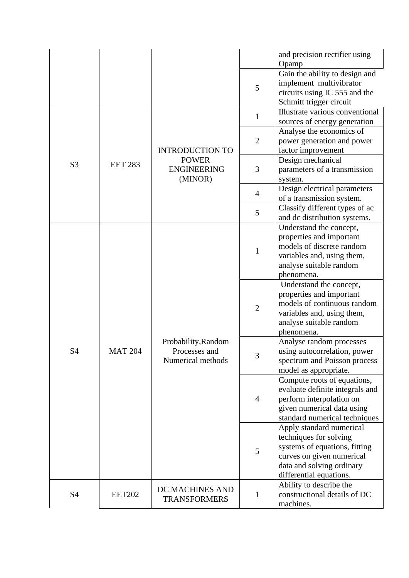|                |                |                                                           |                | and precision rectifier using<br>Opamp                                                                                                                                   |
|----------------|----------------|-----------------------------------------------------------|----------------|--------------------------------------------------------------------------------------------------------------------------------------------------------------------------|
|                |                |                                                           | 5              | Gain the ability to design and<br>implement multivibrator<br>circuits using IC 555 and the<br>Schmitt trigger circuit                                                    |
|                |                |                                                           | $\mathbf{1}$   | Illustrate various conventional<br>sources of energy generation                                                                                                          |
|                |                | <b>INTRODUCTION TO</b>                                    | $\overline{2}$ | Analyse the economics of<br>power generation and power<br>factor improvement                                                                                             |
| S <sub>3</sub> | <b>EET 283</b> | <b>POWER</b><br><b>ENGINEERING</b><br>(MINOR)             | 3              | Design mechanical<br>parameters of a transmission<br>system.                                                                                                             |
|                |                |                                                           | $\overline{4}$ | Design electrical parameters<br>of a transmission system.                                                                                                                |
|                |                |                                                           | 5              | Classify different types of ac<br>and dc distribution systems.                                                                                                           |
|                |                |                                                           | $\mathbf{1}$   | Understand the concept,<br>properties and important<br>models of discrete random<br>variables and, using them,<br>analyse suitable random<br>phenomena.                  |
|                | <b>MAT 204</b> | Probability, Random<br>Processes and<br>Numerical methods | $\overline{2}$ | Understand the concept,<br>properties and important<br>models of continuous random<br>variables and, using them,<br>analyse suitable random<br>phenomena.                |
| S <sub>4</sub> |                |                                                           | 3              | Analyse random processes<br>using autocorrelation, power<br>spectrum and Poisson process<br>model as appropriate.                                                        |
|                |                |                                                           | $\overline{4}$ | Compute roots of equations,<br>evaluate definite integrals and<br>perform interpolation on<br>given numerical data using<br>standard numerical techniques                |
|                |                |                                                           | 5              | Apply standard numerical<br>techniques for solving<br>systems of equations, fitting<br>curves on given numerical<br>data and solving ordinary<br>differential equations. |
| <b>S4</b>      | <b>EET202</b>  | DC MACHINES AND<br><b>TRANSFORMERS</b>                    | 1              | Ability to describe the<br>constructional details of DC<br>machines.                                                                                                     |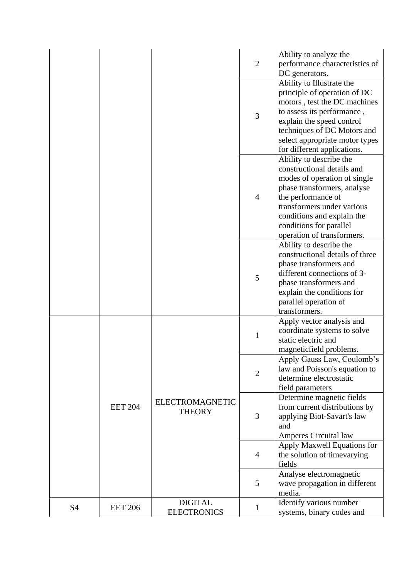|                |                |                        | $\overline{2}$ | Ability to analyze the<br>performance characteristics of      |
|----------------|----------------|------------------------|----------------|---------------------------------------------------------------|
|                |                |                        |                | DC generators.                                                |
|                |                |                        |                | Ability to Illustrate the                                     |
|                |                |                        |                | principle of operation of DC                                  |
|                |                |                        | 3              | motors, test the DC machines                                  |
|                |                |                        |                | to assess its performance,                                    |
|                |                |                        |                | explain the speed control                                     |
|                |                |                        |                | techniques of DC Motors and                                   |
|                |                |                        |                | select appropriate motor types<br>for different applications. |
|                |                |                        |                | Ability to describe the                                       |
|                |                |                        |                | constructional details and                                    |
|                |                |                        |                | modes of operation of single                                  |
|                |                |                        | $\overline{4}$ | phase transformers, analyse                                   |
|                |                |                        |                | the performance of                                            |
|                |                |                        |                | transformers under various                                    |
|                |                |                        |                | conditions and explain the                                    |
|                |                |                        |                | conditions for parallel                                       |
|                |                |                        |                | operation of transformers.                                    |
|                |                |                        |                | Ability to describe the                                       |
|                |                |                        |                | constructional details of three<br>phase transformers and     |
|                |                |                        | 5              | different connections of 3-                                   |
|                |                |                        |                | phase transformers and                                        |
|                |                |                        |                | explain the conditions for                                    |
|                |                |                        |                | parallel operation of                                         |
|                |                |                        |                | transformers.                                                 |
|                |                |                        |                | Apply vector analysis and                                     |
|                |                | <b>ELECTROMAGNETIC</b> | $\mathbf{1}$   | coordinate systems to solve                                   |
|                |                |                        |                | static electric and                                           |
|                |                |                        |                | magneticfield problems.                                       |
|                |                |                        | $\overline{2}$ | Apply Gauss Law, Coulomb's                                    |
|                |                |                        |                | law and Poisson's equation to<br>determine electrostatic      |
|                |                |                        |                | field parameters                                              |
|                | <b>EET 204</b> |                        | 3              | Determine magnetic fields                                     |
|                |                |                        |                | from current distributions by                                 |
|                |                | <b>THEORY</b>          |                | applying Biot-Savart's law                                    |
|                |                |                        |                | and                                                           |
|                |                |                        |                | Amperes Circuital law                                         |
|                |                |                        | $\overline{4}$ | Apply Maxwell Equations for                                   |
|                |                |                        |                | the solution of timevarying                                   |
|                |                |                        |                | fields                                                        |
|                |                |                        | 5              | Analyse electromagnetic                                       |
|                |                |                        |                | wave propagation in different<br>media.                       |
|                |                | <b>DIGITAL</b>         |                | Identify various number                                       |
| S <sub>4</sub> | <b>EET 206</b> | <b>ELECTRONICS</b>     | $\mathbf 1$    | systems, binary codes and                                     |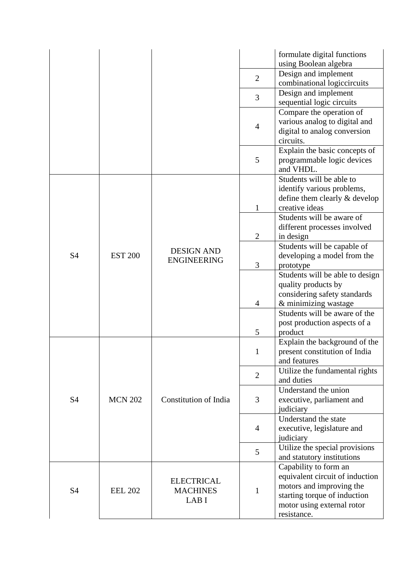|           |                |                                               |                | formulate digital functions<br>using Boolean algebra                                                                                                              |
|-----------|----------------|-----------------------------------------------|----------------|-------------------------------------------------------------------------------------------------------------------------------------------------------------------|
|           |                |                                               | $\overline{2}$ | Design and implement<br>combinational logiccircuits                                                                                                               |
|           |                |                                               | 3              | Design and implement<br>sequential logic circuits                                                                                                                 |
|           |                |                                               | $\overline{4}$ | Compare the operation of<br>various analog to digital and<br>digital to analog conversion<br>circuits.                                                            |
|           |                |                                               | 5              | Explain the basic concepts of<br>programmable logic devices<br>and VHDL.                                                                                          |
| <b>S4</b> | <b>EST 200</b> | <b>DESIGN AND</b><br><b>ENGINEERING</b>       | $\mathbf{1}$   | Students will be able to<br>identify various problems,<br>define them clearly & develop<br>creative ideas                                                         |
|           |                |                                               | $\overline{2}$ | Students will be aware of<br>different processes involved<br>in design                                                                                            |
|           |                |                                               | 3              | Students will be capable of<br>developing a model from the<br>prototype                                                                                           |
|           |                |                                               | 4              | Students will be able to design<br>quality products by<br>considering safety standards<br>& minimizing wastage                                                    |
|           |                |                                               | 5              | Students will be aware of the<br>post production aspects of a<br>product                                                                                          |
| <b>S4</b> | <b>MCN 202</b> | <b>Constitution of India</b>                  | 1              | Explain the background of the<br>present constitution of India<br>and features                                                                                    |
|           |                |                                               | $\overline{2}$ | Utilize the fundamental rights<br>and duties                                                                                                                      |
|           |                |                                               | 3              | Understand the union<br>executive, parliament and<br>judiciary                                                                                                    |
|           |                |                                               | $\overline{4}$ | Understand the state<br>executive, legislature and<br>judiciary                                                                                                   |
|           |                |                                               | 5              | Utilize the special provisions<br>and statutory institutions                                                                                                      |
| <b>S4</b> | <b>EEL 202</b> | <b>ELECTRICAL</b><br><b>MACHINES</b><br>LAB I | 1              | Capability to form an<br>equivalent circuit of induction<br>motors and improving the<br>starting torque of induction<br>motor using external rotor<br>resistance. |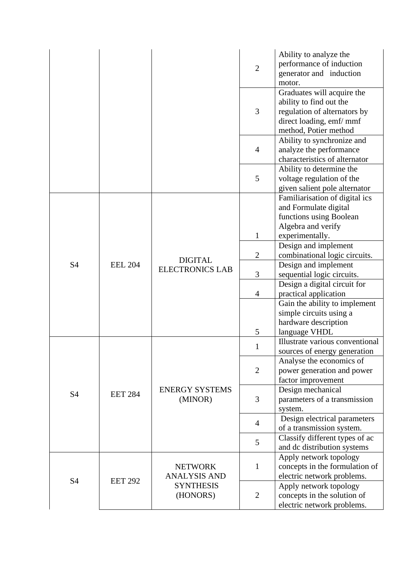|           |                |                                                                       | $\overline{2}$ | Ability to analyze the<br>performance of induction<br>generator and induction<br>motor.                                                   |
|-----------|----------------|-----------------------------------------------------------------------|----------------|-------------------------------------------------------------------------------------------------------------------------------------------|
|           |                |                                                                       | 3              | Graduates will acquire the<br>ability to find out the<br>regulation of alternators by<br>direct loading, emf/mmf<br>method, Potier method |
|           |                |                                                                       | $\overline{4}$ | Ability to synchronize and<br>analyze the performance<br>characteristics of alternator                                                    |
|           |                |                                                                       | 5              | Ability to determine the<br>voltage regulation of the<br>given salient pole alternator                                                    |
|           | <b>EEL 204</b> | <b>DIGITAL</b><br><b>ELECTRONICS LAB</b>                              | 1              | Familiarisation of digital ics<br>and Formulate digital<br>functions using Boolean<br>Algebra and verify<br>experimentally.               |
|           |                |                                                                       | $\overline{2}$ | Design and implement<br>combinational logic circuits.                                                                                     |
| S4        |                |                                                                       | 3              | Design and implement<br>sequential logic circuits.                                                                                        |
|           |                |                                                                       | 4              | Design a digital circuit for<br>practical application                                                                                     |
|           |                |                                                                       |                | Gain the ability to implement<br>simple circuits using a<br>hardware description                                                          |
|           |                |                                                                       | 5              | language VHDL<br>Illustrate various conventional                                                                                          |
|           | <b>EET 284</b> | <b>ENERGY SYSTEMS</b><br>(MINOR)                                      | 1              | sources of energy generation                                                                                                              |
| <b>S4</b> |                |                                                                       | $\overline{2}$ | Analyse the economics of<br>power generation and power<br>factor improvement                                                              |
|           |                |                                                                       | 3              | Design mechanical<br>parameters of a transmission<br>system.                                                                              |
|           |                |                                                                       | $\overline{4}$ | Design electrical parameters<br>of a transmission system.                                                                                 |
|           |                |                                                                       | 5              | Classify different types of ac<br>and dc distribution systems                                                                             |
| <b>S4</b> | <b>EET 292</b> | <b>NETWORK</b><br><b>ANALYSIS AND</b><br><b>SYNTHESIS</b><br>(HONORS) | $\mathbf{1}$   | Apply network topology<br>concepts in the formulation of<br>electric network problems.                                                    |
|           |                |                                                                       | $\overline{2}$ | Apply network topology<br>concepts in the solution of<br>electric network problems.                                                       |